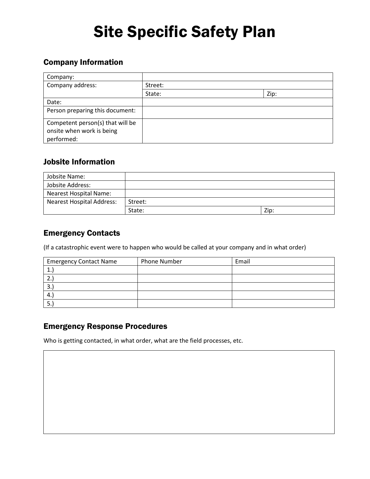## Site Specific Safety Plan

## Company Information

| Company:                                                                    |         |      |
|-----------------------------------------------------------------------------|---------|------|
| Company address:                                                            | Street: |      |
|                                                                             | State:  | Zip: |
| Date:                                                                       |         |      |
| Person preparing this document:                                             |         |      |
| Competent person(s) that will be<br>onsite when work is being<br>performed: |         |      |

### Jobsite Information

| Jobsite Name:                    |         |      |
|----------------------------------|---------|------|
| Jobsite Address:                 |         |      |
| <b>Nearest Hospital Name:</b>    |         |      |
| <b>Nearest Hospital Address:</b> | Street: |      |
|                                  | State:  | Zip: |

### Emergency Contacts

(If a catastrophic event were to happen who would be called at your company and in what order)

| <b>Emergency Contact Name</b> | <b>Phone Number</b> | Email |
|-------------------------------|---------------------|-------|
| ٠.                            |                     |       |
| 2.                            |                     |       |
| -3.                           |                     |       |
| $4_{\cdot}$                   |                     |       |
|                               |                     |       |

### Emergency Response Procedures

Who is getting contacted, in what order, what are the field processes, etc.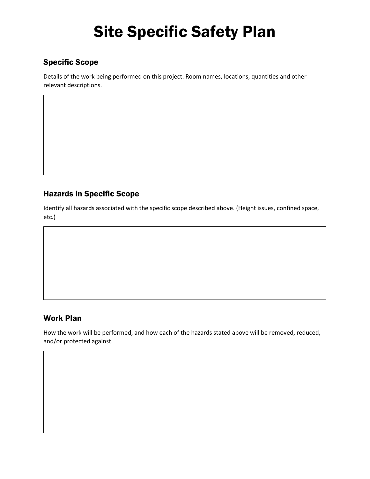# Site Specific Safety Plan

## Specific Scope

Details of the work being performed on this project. Room names, locations, quantities and other relevant descriptions.

## Hazards in Specific Scope

Identify all hazards associated with the specific scope described above. (Height issues, confined space, etc.)

### Work Plan

How the work will be performed, and how each of the hazards stated above will be removed, reduced, and/or protected against.